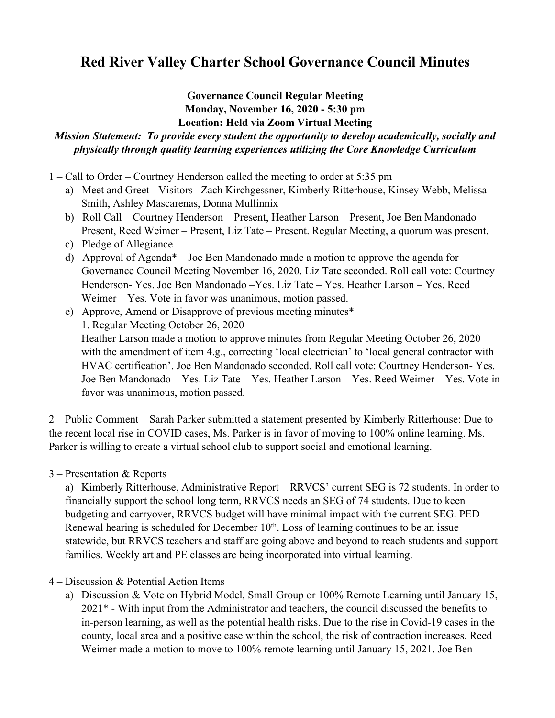## **Red River Valley Charter School Governance Council Minutes**

## **Governance Council Regular Meeting Monday, November 16, 2020 - 5:30 pm Location: Held via Zoom Virtual Meeting**

## *Mission Statement: To provide every student the opportunity to develop academically, socially and physically through quality learning experiences utilizing the Core Knowledge Curriculum*

- 1 Call to Order Courtney Henderson called the meeting to order at 5:35 pm
	- a) Meet and Greet Visitors –Zach Kirchgessner, Kimberly Ritterhouse, Kinsey Webb, Melissa Smith, Ashley Mascarenas, Donna Mullinnix
	- b) Roll Call Courtney Henderson Present, Heather Larson Present, Joe Ben Mandonado Present, Reed Weimer – Present, Liz Tate – Present. Regular Meeting, a quorum was present.
	- c) Pledge of Allegiance
	- d) Approval of Agenda\* Joe Ben Mandonado made a motion to approve the agenda for Governance Council Meeting November 16, 2020. Liz Tate seconded. Roll call vote: Courtney Henderson- Yes. Joe Ben Mandonado –Yes. Liz Tate – Yes. Heather Larson – Yes. Reed Weimer – Yes. Vote in favor was unanimous, motion passed.
	- e) Approve, Amend or Disapprove of previous meeting minutes\* 1. Regular Meeting October 26, 2020 Heather Larson made a motion to approve minutes from Regular Meeting October 26, 2020 with the amendment of item 4.g., correcting 'local electrician' to 'local general contractor with HVAC certification'. Joe Ben Mandonado seconded. Roll call vote: Courtney Henderson- Yes. Joe Ben Mandonado – Yes. Liz Tate – Yes. Heather Larson – Yes. Reed Weimer – Yes. Vote in favor was unanimous, motion passed.

2 – Public Comment – Sarah Parker submitted a statement presented by Kimberly Ritterhouse: Due to the recent local rise in COVID cases, Ms. Parker is in favor of moving to 100% online learning. Ms. Parker is willing to create a virtual school club to support social and emotional learning.

3 – Presentation & Reports

a) Kimberly Ritterhouse, Administrative Report – RRVCS' current SEG is 72 students. In order to financially support the school long term, RRVCS needs an SEG of 74 students. Due to keen budgeting and carryover, RRVCS budget will have minimal impact with the current SEG. PED Renewal hearing is scheduled for December  $10<sup>th</sup>$ . Loss of learning continues to be an issue statewide, but RRVCS teachers and staff are going above and beyond to reach students and support families. Weekly art and PE classes are being incorporated into virtual learning.

4 – Discussion & Potential Action Items

a) Discussion & Vote on Hybrid Model, Small Group or 100% Remote Learning until January 15, 2021\* - With input from the Administrator and teachers, the council discussed the benefits to in-person learning, as well as the potential health risks. Due to the rise in Covid-19 cases in the county, local area and a positive case within the school, the risk of contraction increases. Reed Weimer made a motion to move to 100% remote learning until January 15, 2021. Joe Ben